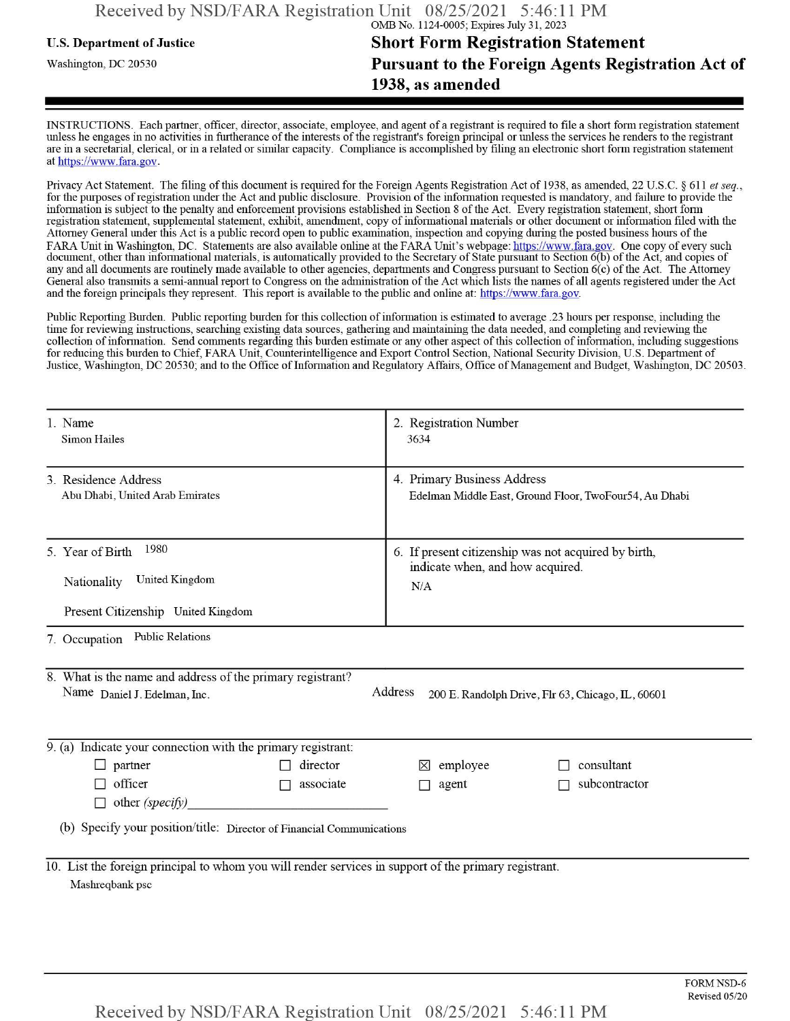## u.s. Department ofJustice **Short Form Registration Statement** Washington, dc <sup>20530</sup>**Pursuant to the Foreign Agents Registration Act of 1938, as amended**

INSTRUCTIONS. Each partner, officer, director, associate, employee, and agent of a registrant is required to file a short form registration statement unless he engages in no activities in furtherance ofthe interests ofthe registrant's foreign principal or unless the services he renders to the registrant are in a secretarial, clerical, or in a related or similar capacity. Compliance is accomplished by filing an electronic short form registration statement at https://www.fara.gov.

Privacy Act Statement. The filing of this document is required for the Foreign Agents Registration Act of 1938, as amended, 22 U.S.C. § 611 et seq., for the purposes ofregistration under the Act and public disclosure. Provision ofthe information requested is mandatory, and failure to provide the information is subject to the penalty and enforcement provisions established in Section 8 ofthe Act. Every registration statement, short form registration statement, supplemental statement, exhibit, amendment, copy ofinformational materials or other document or information filed with the Attorney General under this Act is a public record open to public examination, inspection and copying during the posted business hours of the FARA Unit in Washington, DC. Statements are also available online at the FARA Unit's webpage: https://www.fara.gov. One copy of every such document, other than informational materials, is automatically provided to the Secretary of State pursuant to Section 6(b) ofthe Act, and copies of any and all documents are routinely made available to other agencies, departments and Congress pursuant to Section 6(c) ofthe Act. The Attorney General also transmits a semi-annual report to Congress on the administration ofthe Act which lists the names of all agents registered under the Act and the foreign principals they represent. This report is available to the public and online at: https://www.fara.gov.

Public Reporting Burden. Public reporting burden for this collection ofinformation is estimated to average .23 hours per response, including the time for reviewing instructions, searching existing data sources, gathering and maintaining the data needed, and completing and reviewing the collection of information. Send comments regarding this burden estimate or any other aspect of this collection of information, including suggestions for reducing this burden to Chief, FARA Unit, Counterintelligence and Export Control Section, National Security Division, U.S. Department of Justice, Washington, DC 20530; and to the Office of Information and Regulatory Affairs, Office of Management and Budget, Washington, DC 20503.

|                                                                                                                          | 1. Name<br><b>Simon Hailes</b>                                                                                                                             | 2. Registration Number<br>3634                                                                  |  |  |  |  |  |  |  |
|--------------------------------------------------------------------------------------------------------------------------|------------------------------------------------------------------------------------------------------------------------------------------------------------|-------------------------------------------------------------------------------------------------|--|--|--|--|--|--|--|
|                                                                                                                          | 3 Residence Address<br>Abu Dhabi, United Arab Emirates                                                                                                     | 4. Primary Business Address<br>Edelman Middle East, Ground Floor, TwoFour54, Au Dhabi           |  |  |  |  |  |  |  |
|                                                                                                                          | 1980<br>5. Year of Birth<br><b>United Kingdom</b><br>Nationality<br>Present Citizenship United Kingdom                                                     | 6. If present citizenship was not acquired by birth,<br>indicate when, and how acquired.<br>N/A |  |  |  |  |  |  |  |
| <b>Public Relations</b><br>7. Occupation                                                                                 |                                                                                                                                                            |                                                                                                 |  |  |  |  |  |  |  |
|                                                                                                                          | 8. What is the name and address of the primary registrant?<br>Address<br>Name Daniel J. Edelman, Inc.<br>200 E. Randolph Drive, Flr 63, Chicago, IL, 60601 |                                                                                                 |  |  |  |  |  |  |  |
| 9. (a) Indicate your connection with the primary registrant:                                                             |                                                                                                                                                            |                                                                                                 |  |  |  |  |  |  |  |
|                                                                                                                          | $\Box$ partner<br>director                                                                                                                                 | consultant<br>employee<br>$\mathsf{X}$                                                          |  |  |  |  |  |  |  |
|                                                                                                                          | officer<br>associate<br>$\sim$<br>$\Box$ other (specify)                                                                                                   | subcontractor<br>agent                                                                          |  |  |  |  |  |  |  |
| (b) Specify your position/title: Director of Financial Communications                                                    |                                                                                                                                                            |                                                                                                 |  |  |  |  |  |  |  |
| 10. List the foreign principal to whom you will render services in support of the primary registrant.<br>Mashreqbank psc |                                                                                                                                                            |                                                                                                 |  |  |  |  |  |  |  |